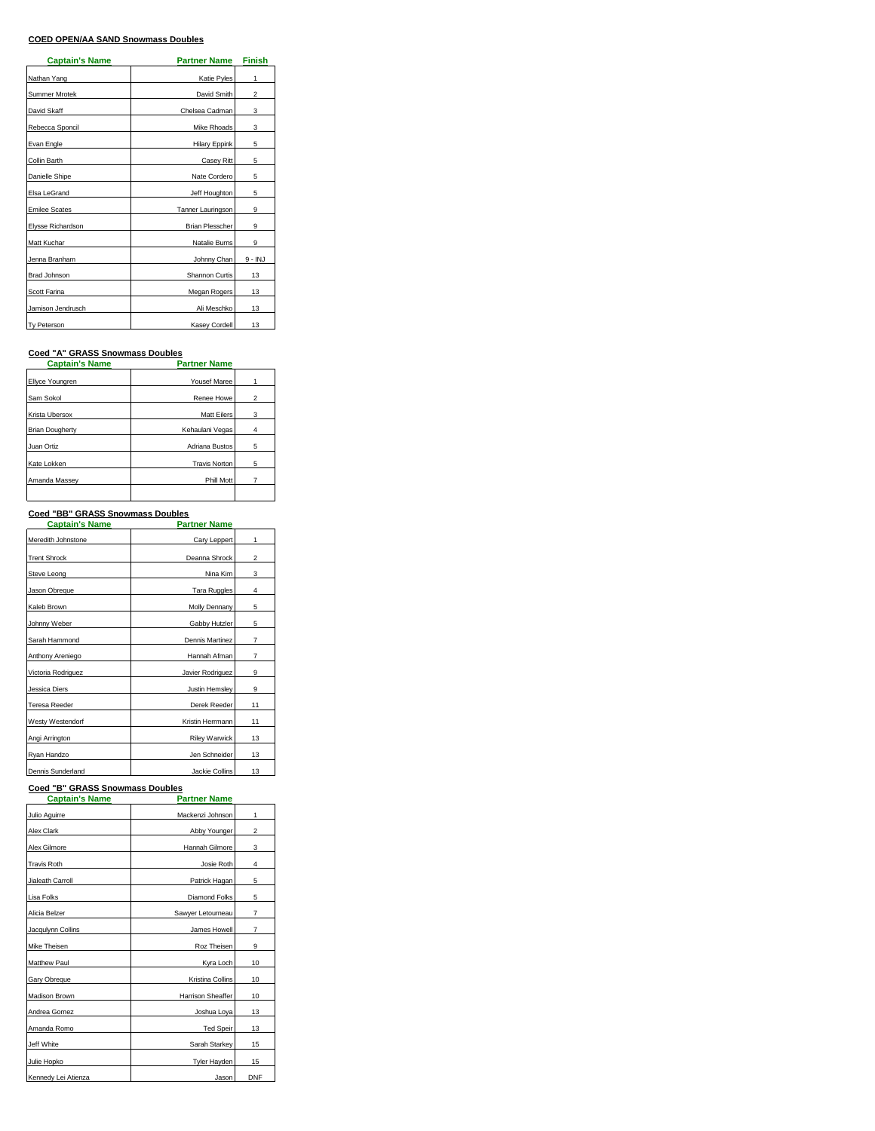## **COED OPEN/AA SAND Snowmass Doubles**

| <b>Captain's Name</b> | <b>Partner Name</b>    | <b>Finish</b> |
|-----------------------|------------------------|---------------|
| Nathan Yang           | Katie Pyles            | 1             |
| Summer Mrotek         | David Smith            | 2             |
| David Skaff           | Chelsea Cadman         | 3             |
| Rebecca Sponcil       | Mike Rhoads            | 3             |
| Evan Engle            | Hilary Eppink          | 5             |
| Collin Barth          | Casey Ritt             | 5             |
| Danielle Shipe        | Nate Cordero           | 5             |
| Elsa LeGrand          | Jeff Houghton          | 5             |
| <b>Emilee Scates</b>  | Tanner Lauringson      | 9             |
| Elysse Richardson     | <b>Brian Plesscher</b> | 9             |
| Matt Kuchar           | Natalie Burns          | 9             |
| Jenna Branham         | Johnny Chan            | 9 - INJ       |
| <b>Brad Johnson</b>   | Shannon Curtis         | 13            |
| Scott Farina          | Megan Rogers           | 13            |
| Jamison Jendrusch     | Ali Meschko            | 13            |
| Tv Peterson           | Kasey Cordell          | 13            |

# **Captain's Name Partner Name Coed "A" GRASS Snowmass Doubles**

| Captain's Name         | Partner Name         |                |
|------------------------|----------------------|----------------|
| Ellyce Youngren        | Yousef Maree         |                |
| Sam Sokol              | Renee Howe           | $\mathfrak{p}$ |
| Krista Ubersox         | <b>Matt Eilers</b>   | 3              |
| <b>Brian Dougherty</b> | Kehaulani Vegas      | 4              |
| Juan Ortiz             | Adriana Bustos       | 5              |
| Kate Lokken            | <b>Travis Norton</b> | 5              |
| Amanda Massey          | <b>Phill Mott</b>    |                |
|                        |                      |                |

# **Captain's Name Partner Name Coed "BB" GRASS Snowmass Doubles**

| Coed BB GRASS Showingss Doubles<br><b>Captain's Name</b> | <b>Partner Name</b>  |    |
|----------------------------------------------------------|----------------------|----|
| Meredith Johnstone                                       | Cary Leppert         | 1  |
| <b>Trent Shrock</b>                                      | Deanna Shrock        | 2  |
| Steve Leong                                              | Nina Kim             | 3  |
| Jason Obreque                                            | Tara Ruggles         | 4  |
| Kaleb Brown                                              | Molly Dennany        | 5  |
| Johnny Weber                                             | Gabby Hutzler        | 5  |
| Sarah Hammond                                            | Dennis Martinez      | 7  |
| Anthony Areniego                                         | Hannah Afman         | 7  |
| Victoria Rodriguez                                       | Javier Rodriguez     | 9  |
| Jessica Diers                                            | Justin Hemsley       | 9  |
| Teresa Reeder                                            | Derek Reeder         | 11 |
| Westy Westendorf                                         | Kristin Herrmann     | 11 |
| Angi Arrington                                           | <b>Riley Warwick</b> | 13 |
| Ryan Handzo                                              | Jen Schneider        | 13 |
| Dennis Sunderland                                        | Jackie Collins       | 13 |

# **Captain's Name Partner Name Coed "B" GRASS Snowmass Doubles**

| Captain's Name      | Partner Name             |            |
|---------------------|--------------------------|------------|
| Julio Aguirre       | Mackenzi Johnson         | 1          |
| <b>Alex Clark</b>   | Abby Younger             | 2          |
| Alex Gilmore        | Hannah Gilmore           | 3          |
| <b>Travis Roth</b>  | Josie Roth               | 4          |
| Jialeath Carroll    | Patrick Hagan            | 5          |
| Lisa Folks          | Diamond Folks            | 5          |
| Alicia Belzer       | Sawyer Letourneau        | 7          |
| Jacqulynn Collins   | James Howell             | 7          |
| Mike Theisen        | Roz Theisen              | 9          |
| <b>Matthew Paul</b> | Kyra Loch                | 10         |
| Gary Obreque        | Kristina Collins         | 10         |
| Madison Brown       | <b>Harrison Sheaffer</b> | 10         |
| Andrea Gomez        | Joshua Loya              | 13         |
| Amanda Romo         | <b>Ted Speir</b>         | 13         |
| Jeff White          | Sarah Starkey            | 15         |
| Julie Hopko         | Tyler Hayden             | 15         |
| Kennedy Lei Atienza | Jason                    | <b>DNF</b> |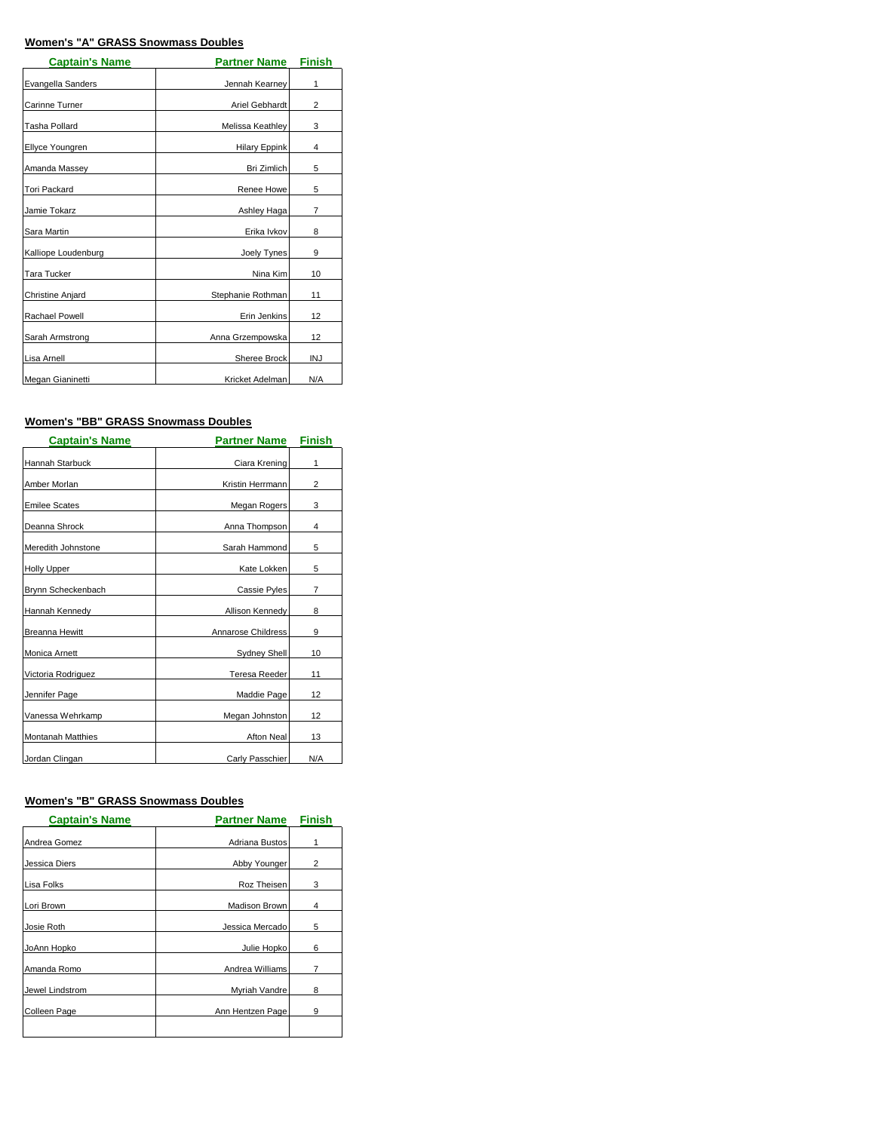## **Women's "A" GRASS Snowmass Doubles**

| <b>Captain's Name</b> | <b>Partner Name</b> | <b>Finish</b>  |
|-----------------------|---------------------|----------------|
| Evangella Sanders     | Jennah Kearney      | 1              |
| <b>Carinne Turner</b> | Ariel Gebhardt      | 2              |
| Tasha Pollard         | Melissa Keathley    | 3              |
| Ellyce Youngren       | Hilary Eppink       | 4              |
| Amanda Massey         | Bri Zimlich         | 5              |
| <b>Tori Packard</b>   | Renee Howe          | 5              |
| Jamie Tokarz          | Ashley Haga         | $\overline{7}$ |
| Sara Martin           | Erika Ivkov         | 8              |
| Kalliope Loudenburg   | Joely Tynes         | 9              |
| <b>Tara Tucker</b>    | Nina Kim            | 10             |
| Christine Anjard      | Stephanie Rothman   | 11             |
| Rachael Powell        | Erin Jenkins        | 12             |
| Sarah Armstrong       | Anna Grzempowska    | 12             |
| Lisa Arnell           | Sheree Brock        | <b>INJ</b>     |
| Megan Gianinetti      | Kricket Adelman     | N/A            |

#### **Women's "BB" GRASS Snowmass Doubles**

| <b>Captain's Name</b>    | <b>Partner Name</b> | <b>Finish</b> |
|--------------------------|---------------------|---------------|
| Hannah Starbuck          | Ciara Krening       | 1             |
| Amber Morlan             | Kristin Herrmann    | 2             |
| <b>Emilee Scates</b>     | Megan Rogers        | 3             |
| Deanna Shrock            | Anna Thompson       | 4             |
| Meredith Johnstone       | Sarah Hammond       | 5             |
| <b>Holly Upper</b>       | Kate Lokken         | 5             |
| Brynn Scheckenbach       | Cassie Pyles        | 7             |
| Hannah Kennedy           | Allison Kennedy     | 8             |
| <b>Breanna Hewitt</b>    | Annarose Childress  | 9             |
| <b>Monica Arnett</b>     | Sydney Shell        | 10            |
| Victoria Rodriguez       | Teresa Reeder       | 11            |
| Jennifer Page            | Maddie Page         | 12            |
| Vanessa Wehrkamp         | Megan Johnston      | 12            |
| <b>Montanah Matthies</b> | <b>Afton Neal</b>   | 13            |
| Jordan Clingan           | Carly Passchier     | N/A           |

# **Women's "B" GRASS Snowmass Doubles**

| <b>Captain's Name</b> | <b>Partner Name</b>  | <b>Finish</b> |
|-----------------------|----------------------|---------------|
| Andrea Gomez          | Adriana Bustos       |               |
| Jessica Diers         | Abby Younger         | 2             |
| Lisa Folks            | Roz Theisen          | 3             |
| Lori Brown            | <b>Madison Brown</b> | 4             |
| Josie Roth            | Jessica Mercado      | 5             |
| JoAnn Hopko           | Julie Hopko          | 6             |
| Amanda Romo           | Andrea Williams      | 7             |
| Jewel Lindstrom       | Myriah Vandre        | 8             |
| Colleen Page          | Ann Hentzen Page     | 9             |
|                       |                      |               |